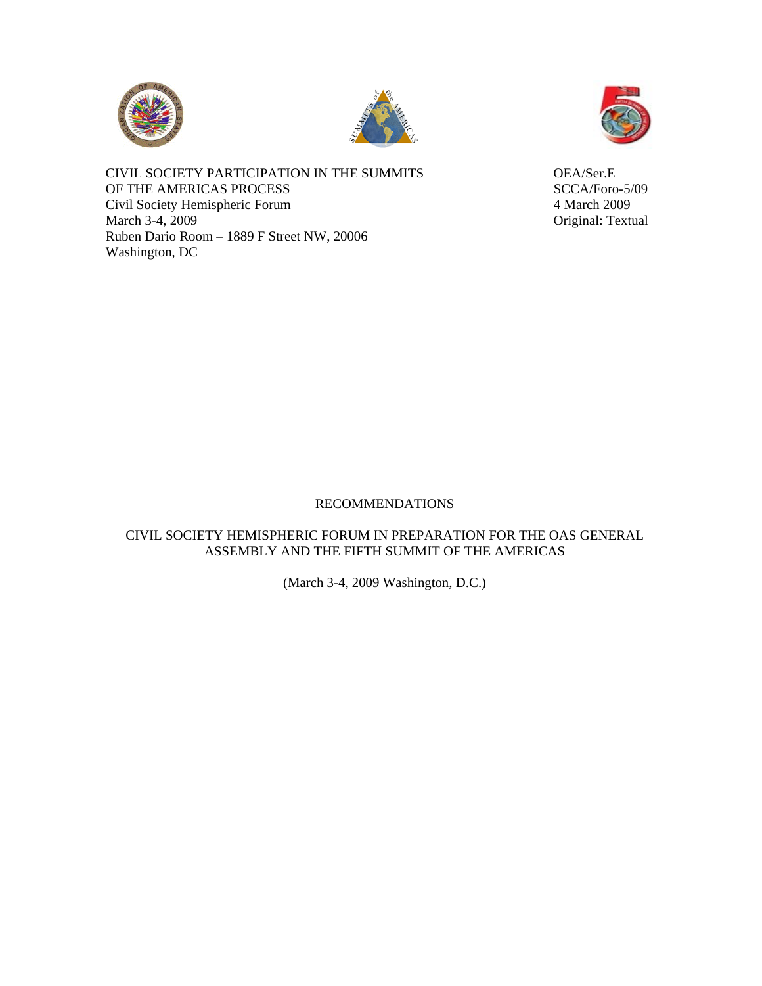





CIVIL SOCIETY PARTICIPATION IN THE SUMMITS OEA/Ser.E OF THE AMERICAS PROCESS SCCA/Foro-5/09 Civil Society Hemispheric Forum 4 March 2009 March 3-4, 2009 Original: Textual Ruben Dario Room – 1889 F Street NW, 20006 Washington, DC

# RECOMMENDATIONS

# CIVIL SOCIETY HEMISPHERIC FORUM IN PREPARATION FOR THE OAS GENERAL ASSEMBLY AND THE FIFTH SUMMIT OF THE AMERICAS

(March 3-4, 2009 Washington, D.C.)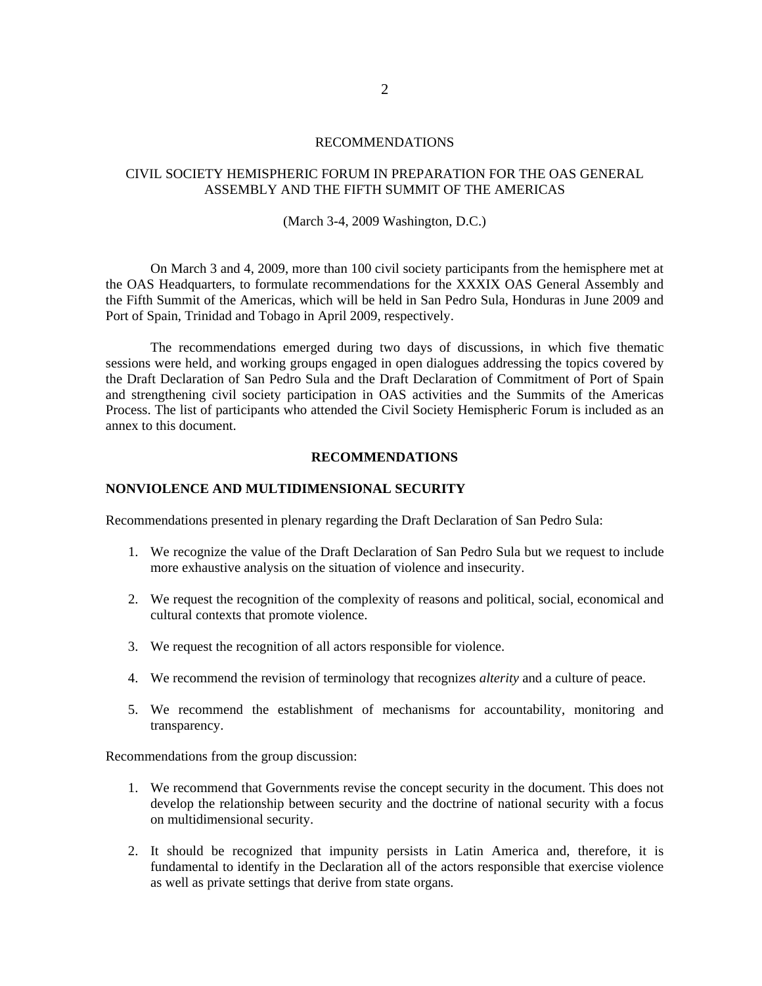### RECOMMENDATIONS

# CIVIL SOCIETY HEMISPHERIC FORUM IN PREPARATION FOR THE OAS GENERAL ASSEMBLY AND THE FIFTH SUMMIT OF THE AMERICAS

#### (March 3-4, 2009 Washington, D.C.)

On March 3 and 4, 2009, more than 100 civil society participants from the hemisphere met at the OAS Headquarters, to formulate recommendations for the XXXIX OAS General Assembly and the Fifth Summit of the Americas, which will be held in San Pedro Sula, Honduras in June 2009 and Port of Spain, Trinidad and Tobago in April 2009, respectively.

The recommendations emerged during two days of discussions, in which five thematic sessions were held, and working groups engaged in open dialogues addressing the topics covered by the Draft Declaration of San Pedro Sula and the Draft Declaration of Commitment of Port of Spain and strengthening civil society participation in OAS activities and the Summits of the Americas Process. The list of participants who attended the Civil Society Hemispheric Forum is included as an annex to this document.

#### **RECOMMENDATIONS**

### **NONVIOLENCE AND MULTIDIMENSIONAL SECURITY**

Recommendations presented in plenary regarding the Draft Declaration of San Pedro Sula:

- 1. We recognize the value of the Draft Declaration of San Pedro Sula but we request to include more exhaustive analysis on the situation of violence and insecurity.
- 2. We request the recognition of the complexity of reasons and political, social, economical and cultural contexts that promote violence.
- 3. We request the recognition of all actors responsible for violence.
- 4. We recommend the revision of terminology that recognizes *alterity* and a culture of peace.
- 5. We recommend the establishment of mechanisms for accountability, monitoring and transparency.

Recommendations from the group discussion:

- 1. We recommend that Governments revise the concept security in the document. This does not develop the relationship between security and the doctrine of national security with a focus on multidimensional security.
- 2. It should be recognized that impunity persists in Latin America and, therefore, it is fundamental to identify in the Declaration all of the actors responsible that exercise violence as well as private settings that derive from state organs.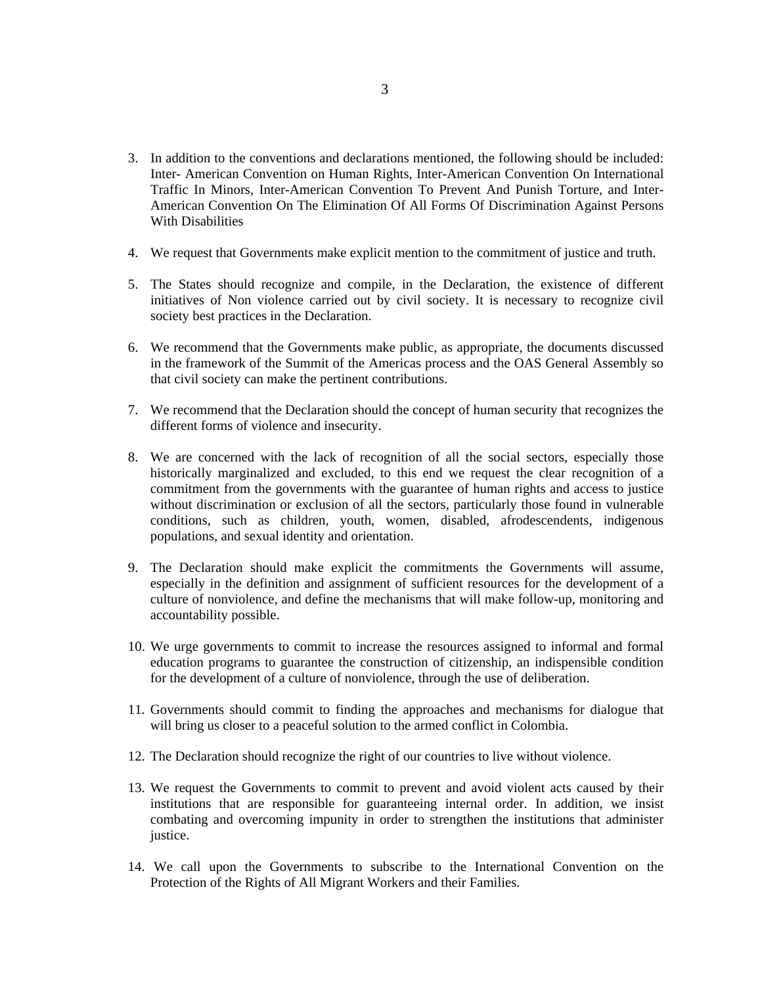- 3. In addition to the conventions and declarations mentioned, the following should be included: Inter- American Convention on Human Rights, Inter-American Convention On International Traffic In Minors, Inter-American Convention To Prevent And Punish Torture, and Inter-American Convention On The Elimination Of All Forms Of Discrimination Against Persons With Disabilities
- 4. We request that Governments make explicit mention to the commitment of justice and truth.
- 5. The States should recognize and compile, in the Declaration, the existence of different initiatives of Non violence carried out by civil society. It is necessary to recognize civil society best practices in the Declaration.
- 6. We recommend that the Governments make public, as appropriate, the documents discussed in the framework of the Summit of the Americas process and the OAS General Assembly so that civil society can make the pertinent contributions.
- 7. We recommend that the Declaration should the concept of human security that recognizes the different forms of violence and insecurity.
- 8. We are concerned with the lack of recognition of all the social sectors, especially those historically marginalized and excluded, to this end we request the clear recognition of a commitment from the governments with the guarantee of human rights and access to justice without discrimination or exclusion of all the sectors, particularly those found in vulnerable conditions, such as children, youth, women, disabled, afrodescendents, indigenous populations, and sexual identity and orientation.
- 9. The Declaration should make explicit the commitments the Governments will assume, especially in the definition and assignment of sufficient resources for the development of a culture of nonviolence, and define the mechanisms that will make follow-up, monitoring and accountability possible.
- 10. We urge governments to commit to increase the resources assigned to informal and formal education programs to guarantee the construction of citizenship, an indispensible condition for the development of a culture of nonviolence, through the use of deliberation.
- 11. Governments should commit to finding the approaches and mechanisms for dialogue that will bring us closer to a peaceful solution to the armed conflict in Colombia.
- 12. The Declaration should recognize the right of our countries to live without violence.
- 13. We request the Governments to commit to prevent and avoid violent acts caused by their institutions that are responsible for guaranteeing internal order. In addition, we insist combating and overcoming impunity in order to strengthen the institutions that administer justice.
- 14. We call upon the Governments to subscribe to the International Convention on the Protection of the Rights of All Migrant Workers and their Families.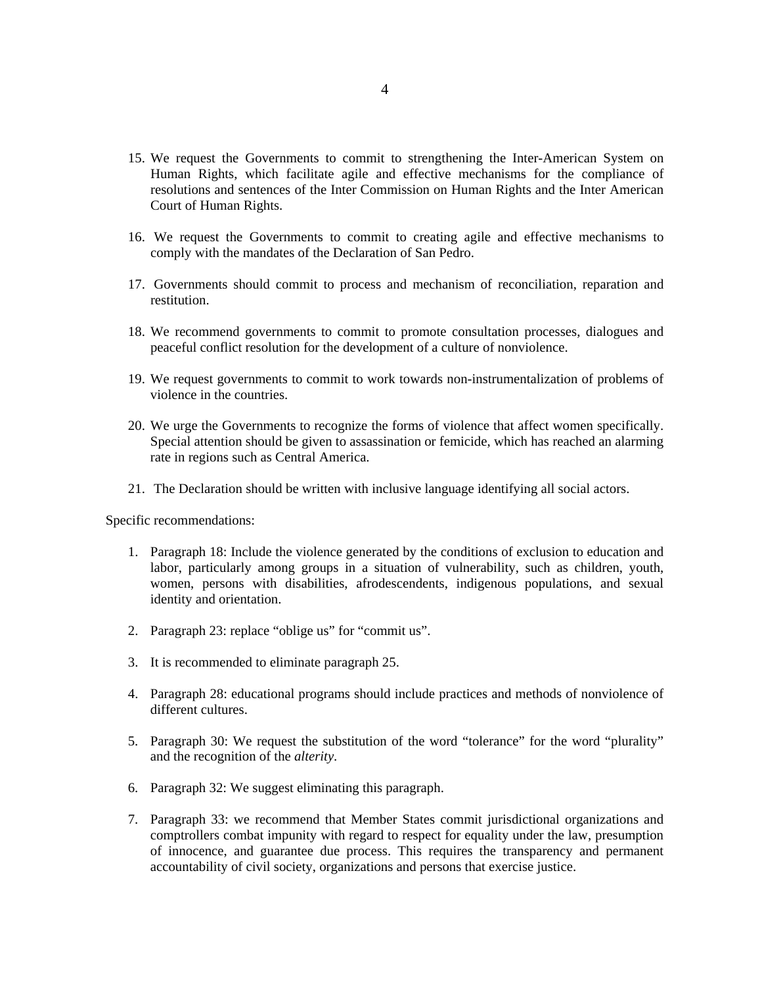- 15. We request the Governments to commit to strengthening the Inter-American System on Human Rights, which facilitate agile and effective mechanisms for the compliance of resolutions and sentences of the Inter Commission on Human Rights and the Inter American Court of Human Rights.
- 16. We request the Governments to commit to creating agile and effective mechanisms to comply with the mandates of the Declaration of San Pedro.
- 17. Governments should commit to process and mechanism of reconciliation, reparation and restitution.
- 18. We recommend governments to commit to promote consultation processes, dialogues and peaceful conflict resolution for the development of a culture of nonviolence.
- 19. We request governments to commit to work towards non-instrumentalization of problems of violence in the countries.
- 20. We urge the Governments to recognize the forms of violence that affect women specifically. Special attention should be given to assassination or femicide, which has reached an alarming rate in regions such as Central America.
- 21. The Declaration should be written with inclusive language identifying all social actors.

Specific recommendations:

- 1. Paragraph 18: Include the violence generated by the conditions of exclusion to education and labor, particularly among groups in a situation of vulnerability, such as children, youth, women, persons with disabilities, afrodescendents, indigenous populations, and sexual identity and orientation.
- 2. Paragraph 23: replace "oblige us" for "commit us".
- 3. It is recommended to eliminate paragraph 25.
- 4. Paragraph 28: educational programs should include practices and methods of nonviolence of different cultures.
- 5. Paragraph 30: We request the substitution of the word "tolerance" for the word "plurality" and the recognition of the *alterity*.
- 6. Paragraph 32: We suggest eliminating this paragraph.
- 7. Paragraph 33: we recommend that Member States commit jurisdictional organizations and comptrollers combat impunity with regard to respect for equality under the law, presumption of innocence, and guarantee due process. This requires the transparency and permanent accountability of civil society, organizations and persons that exercise justice.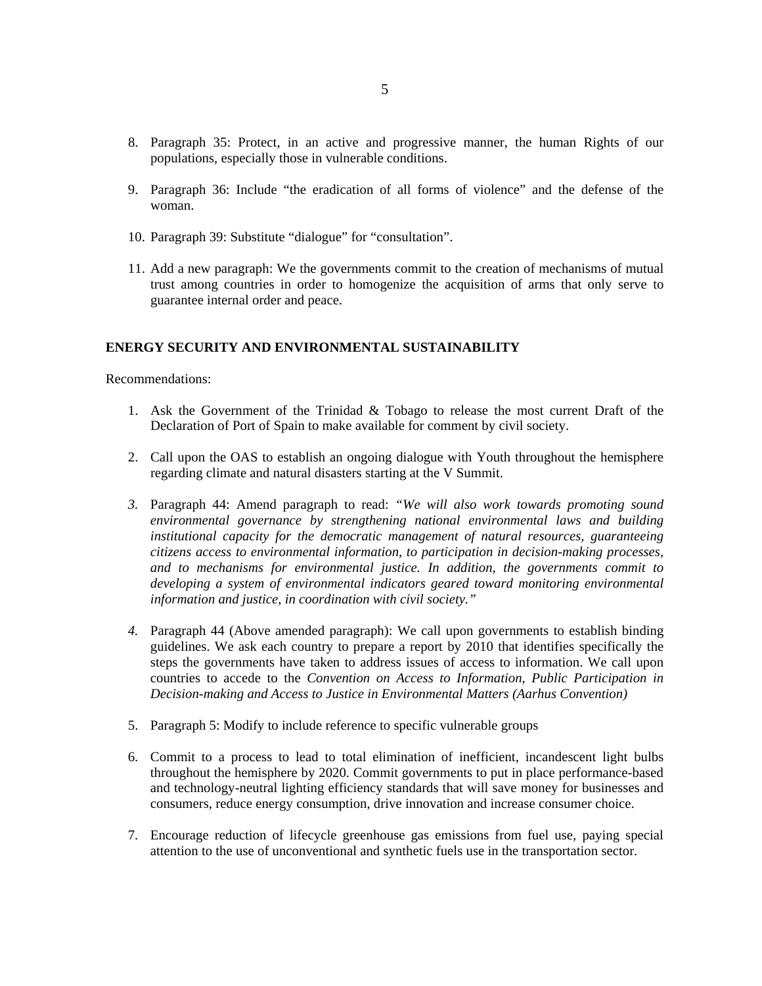- 8. Paragraph 35: Protect, in an active and progressive manner, the human Rights of our populations, especially those in vulnerable conditions.
- 9. Paragraph 36: Include "the eradication of all forms of violence" and the defense of the woman.
- 10. Paragraph 39: Substitute "dialogue" for "consultation".
- 11. Add a new paragraph: We the governments commit to the creation of mechanisms of mutual trust among countries in order to homogenize the acquisition of arms that only serve to guarantee internal order and peace.

#### **ENERGY SECURITY AND ENVIRONMENTAL SUSTAINABILITY**

Recommendations:

- 1. Ask the Government of the Trinidad & Tobago to release the most current Draft of the Declaration of Port of Spain to make available for comment by civil society.
- 2. Call upon the OAS to establish an ongoing dialogue with Youth throughout the hemisphere regarding climate and natural disasters starting at the V Summit.
- *3.* Paragraph 44: Amend paragraph to read: *"We will also work towards promoting sound environmental governance by strengthening national environmental laws and building institutional capacity for the democratic management of natural resources, guaranteeing citizens access to environmental information, to participation in decision-making processes, and to mechanisms for environmental justice. In addition, the governments commit to developing a system of environmental indicators geared toward monitoring environmental information and justice, in coordination with civil society."*
- *4.* Paragraph 44 (Above amended paragraph): We call upon governments to establish binding guidelines. We ask each country to prepare a report by 2010 that identifies specifically the steps the governments have taken to address issues of access to information. We call upon countries to accede to the *Convention on Access to Information, Public Participation in Decision-making and Access to Justice in Environmental Matters (Aarhus Convention)*
- 5. Paragraph 5: Modify to include reference to specific vulnerable groups
- 6. Commit to a process to lead to total elimination of inefficient, incandescent light bulbs throughout the hemisphere by 2020. Commit governments to put in place performance-based and technology-neutral lighting efficiency standards that will save money for businesses and consumers, reduce energy consumption, drive innovation and increase consumer choice.
- 7. Encourage reduction of lifecycle greenhouse gas emissions from fuel use, paying special attention to the use of unconventional and synthetic fuels use in the transportation sector.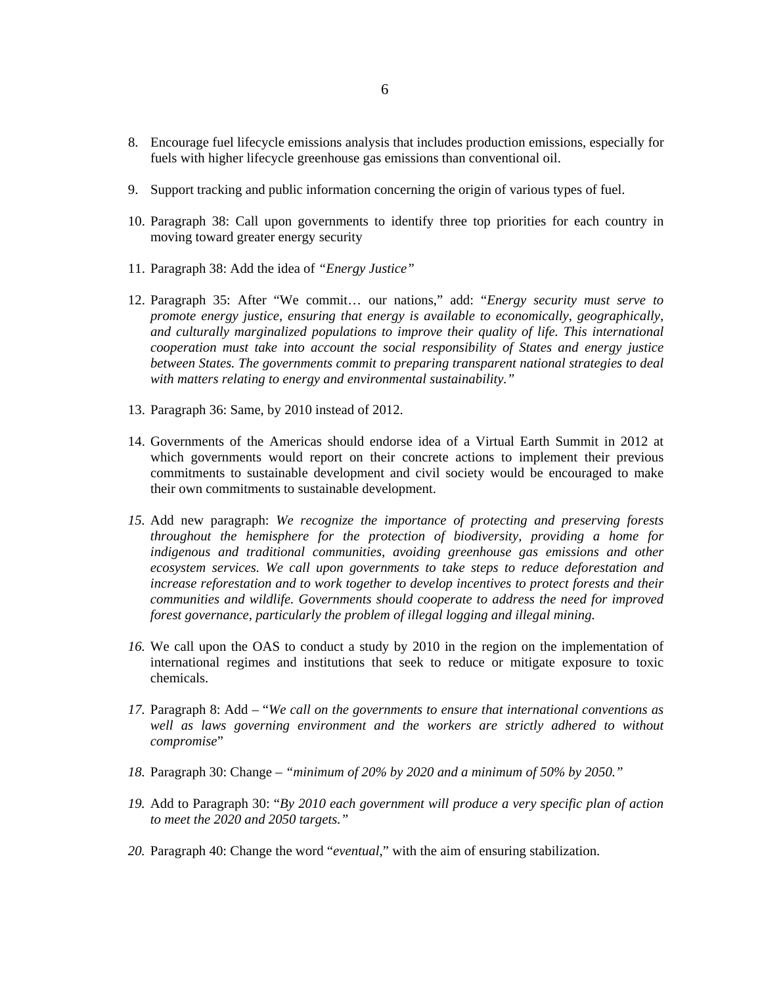- 8. Encourage fuel lifecycle emissions analysis that includes production emissions, especially for fuels with higher lifecycle greenhouse gas emissions than conventional oil.
- 9. Support tracking and public information concerning the origin of various types of fuel.
- 10. Paragraph 38: Call upon governments to identify three top priorities for each country in moving toward greater energy security
- 11. Paragraph 38: Add the idea of *"Energy Justice"*
- 12. Paragraph 35: After "We commit… our nations," add: "*Energy security must serve to promote energy justice, ensuring that energy is available to economically, geographically, and culturally marginalized populations to improve their quality of life. This international cooperation must take into account the social responsibility of States and energy justice between States. The governments commit to preparing transparent national strategies to deal with matters relating to energy and environmental sustainability."*
- 13. Paragraph 36: Same, by 2010 instead of 2012.
- 14. Governments of the Americas should endorse idea of a Virtual Earth Summit in 2012 at which governments would report on their concrete actions to implement their previous commitments to sustainable development and civil society would be encouraged to make their own commitments to sustainable development.
- *15.* Add new paragraph: *We recognize the importance of protecting and preserving forests throughout the hemisphere for the protection of biodiversity, providing a home for indigenous and traditional communities, avoiding greenhouse gas emissions and other ecosystem services. We call upon governments to take steps to reduce deforestation and increase reforestation and to work together to develop incentives to protect forests and their communities and wildlife. Governments should cooperate to address the need for improved forest governance, particularly the problem of illegal logging and illegal mining.*
- *16.* We call upon the OAS to conduct a study by 2010 in the region on the implementation of international regimes and institutions that seek to reduce or mitigate exposure to toxic chemicals.
- *17.* Paragraph 8: Add "*We call on the governments to ensure that international conventions as*  well as laws governing environment and the workers are strictly adhered to without *compromise*"
- *18.* Paragraph 30: Change *"minimum of 20% by 2020 and a minimum of 50% by 2050."*
- *19.* Add to Paragraph 30: "*By 2010 each government will produce a very specific plan of action to meet the 2020 and 2050 targets."*
- *20.* Paragraph 40: Change the word "*eventual*," with the aim of ensuring stabilization.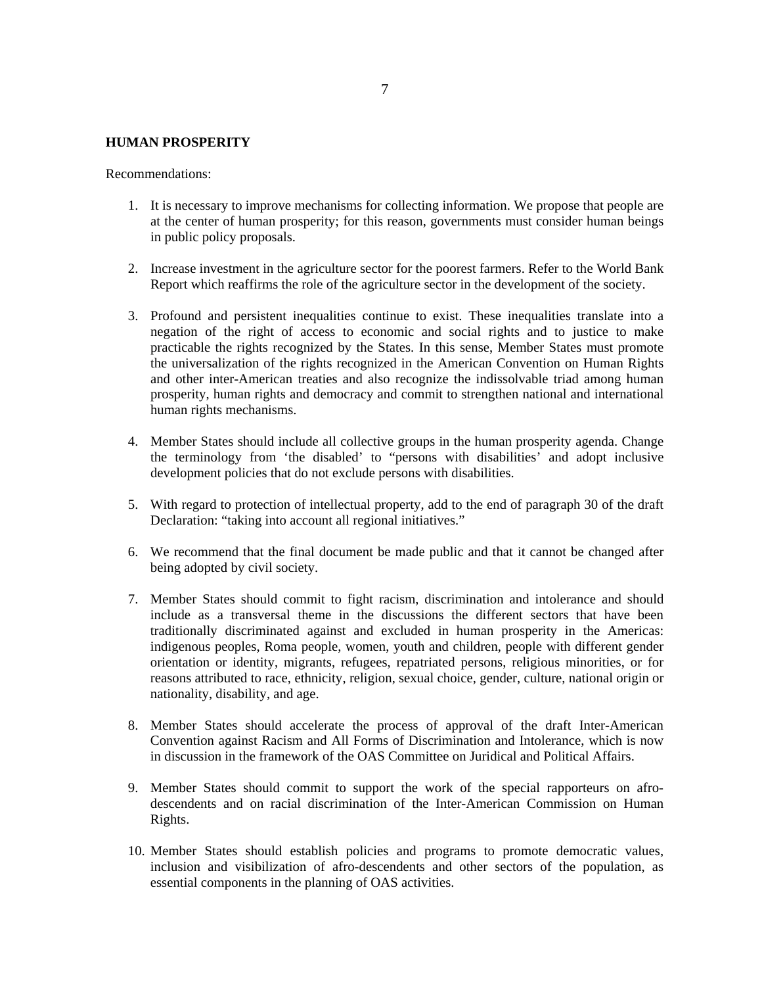### **HUMAN PROSPERITY**

Recommendations:

- 1. It is necessary to improve mechanisms for collecting information. We propose that people are at the center of human prosperity; for this reason, governments must consider human beings in public policy proposals.
- 2. Increase investment in the agriculture sector for the poorest farmers. Refer to the World Bank Report which reaffirms the role of the agriculture sector in the development of the society.
- 3. Profound and persistent inequalities continue to exist. These inequalities translate into a negation of the right of access to economic and social rights and to justice to make practicable the rights recognized by the States. In this sense, Member States must promote the universalization of the rights recognized in the American Convention on Human Rights and other inter-American treaties and also recognize the indissolvable triad among human prosperity, human rights and democracy and commit to strengthen national and international human rights mechanisms.
- 4. Member States should include all collective groups in the human prosperity agenda. Change the terminology from 'the disabled' to "persons with disabilities' and adopt inclusive development policies that do not exclude persons with disabilities.
- 5. With regard to protection of intellectual property, add to the end of paragraph 30 of the draft Declaration: "taking into account all regional initiatives."
- 6. We recommend that the final document be made public and that it cannot be changed after being adopted by civil society.
- 7. Member States should commit to fight racism, discrimination and intolerance and should include as a transversal theme in the discussions the different sectors that have been traditionally discriminated against and excluded in human prosperity in the Americas: indigenous peoples, Roma people, women, youth and children, people with different gender orientation or identity, migrants, refugees, repatriated persons, religious minorities, or for reasons attributed to race, ethnicity, religion, sexual choice, gender, culture, national origin or nationality, disability, and age.
- 8. Member States should accelerate the process of approval of the draft Inter-American Convention against Racism and All Forms of Discrimination and Intolerance, which is now in discussion in the framework of the OAS Committee on Juridical and Political Affairs.
- 9. Member States should commit to support the work of the special rapporteurs on afrodescendents and on racial discrimination of the Inter-American Commission on Human Rights.
- 10. Member States should establish policies and programs to promote democratic values, inclusion and visibilization of afro-descendents and other sectors of the population, as essential components in the planning of OAS activities.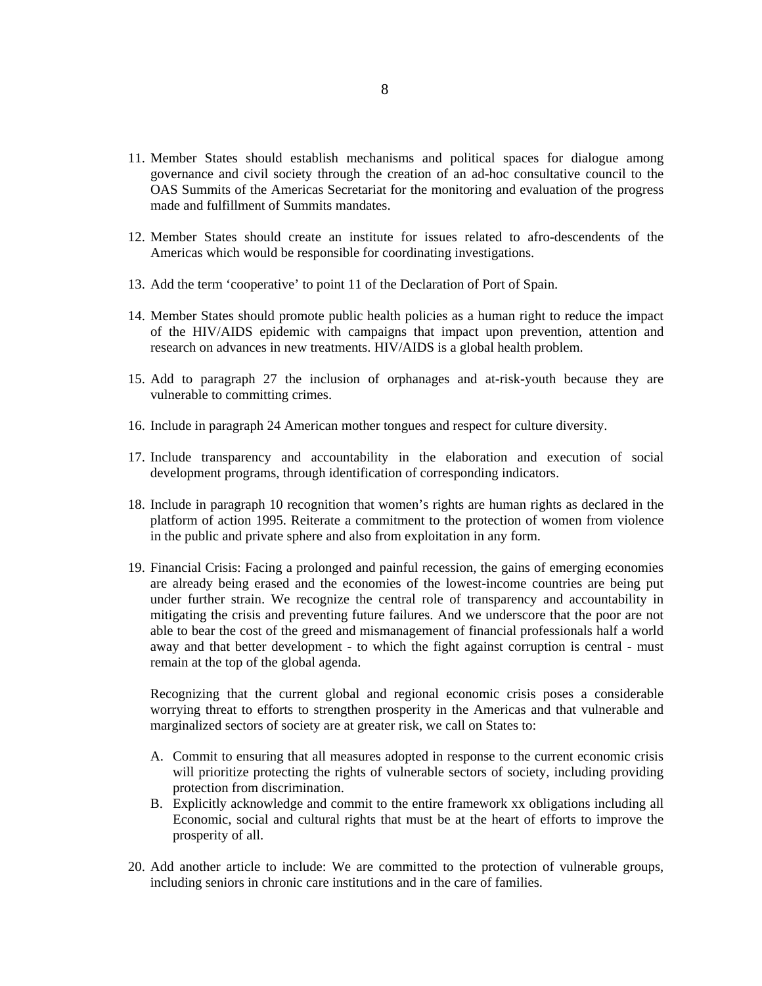- 11. Member States should establish mechanisms and political spaces for dialogue among governance and civil society through the creation of an ad-hoc consultative council to the OAS Summits of the Americas Secretariat for the monitoring and evaluation of the progress made and fulfillment of Summits mandates.
- 12. Member States should create an institute for issues related to afro-descendents of the Americas which would be responsible for coordinating investigations.
- 13. Add the term 'cooperative' to point 11 of the Declaration of Port of Spain.
- 14. Member States should promote public health policies as a human right to reduce the impact of the HIV/AIDS epidemic with campaigns that impact upon prevention, attention and research on advances in new treatments. HIV/AIDS is a global health problem.
- 15. Add to paragraph 27 the inclusion of orphanages and at-risk-youth because they are vulnerable to committing crimes.
- 16. Include in paragraph 24 American mother tongues and respect for culture diversity.
- 17. Include transparency and accountability in the elaboration and execution of social development programs, through identification of corresponding indicators.
- 18. Include in paragraph 10 recognition that women's rights are human rights as declared in the platform of action 1995. Reiterate a commitment to the protection of women from violence in the public and private sphere and also from exploitation in any form.
- 19. Financial Crisis: Facing a prolonged and painful recession, the gains of emerging economies are already being erased and the economies of the lowest-income countries are being put under further strain. We recognize the central role of transparency and accountability in mitigating the crisis and preventing future failures. And we underscore that the poor are not able to bear the cost of the greed and mismanagement of financial professionals half a world away and that better development - to which the fight against corruption is central - must remain at the top of the global agenda.

Recognizing that the current global and regional economic crisis poses a considerable worrying threat to efforts to strengthen prosperity in the Americas and that vulnerable and marginalized sectors of society are at greater risk, we call on States to:

- A. Commit to ensuring that all measures adopted in response to the current economic crisis will prioritize protecting the rights of vulnerable sectors of society, including providing protection from discrimination.
- B. Explicitly acknowledge and commit to the entire framework xx obligations including all Economic, social and cultural rights that must be at the heart of efforts to improve the prosperity of all.
- 20. Add another article to include: We are committed to the protection of vulnerable groups, including seniors in chronic care institutions and in the care of families.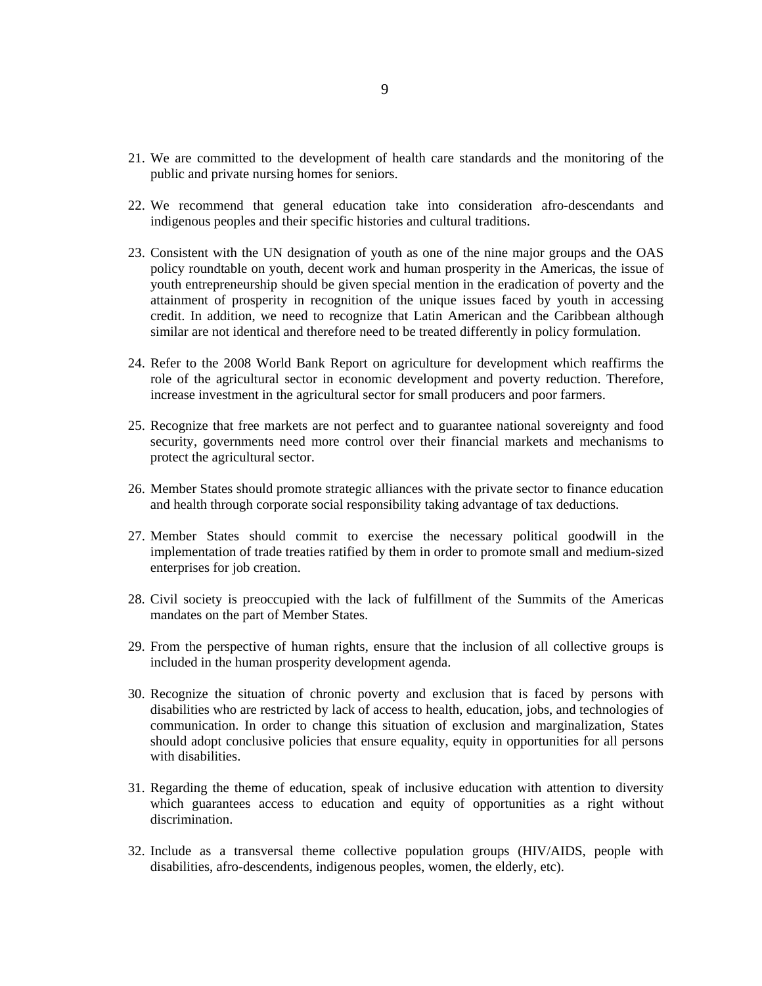- 21. We are committed to the development of health care standards and the monitoring of the public and private nursing homes for seniors.
- 22. We recommend that general education take into consideration afro-descendants and indigenous peoples and their specific histories and cultural traditions.
- 23. Consistent with the UN designation of youth as one of the nine major groups and the OAS policy roundtable on youth, decent work and human prosperity in the Americas, the issue of youth entrepreneurship should be given special mention in the eradication of poverty and the attainment of prosperity in recognition of the unique issues faced by youth in accessing credit. In addition, we need to recognize that Latin American and the Caribbean although similar are not identical and therefore need to be treated differently in policy formulation.
- 24. Refer to the 2008 World Bank Report on agriculture for development which reaffirms the role of the agricultural sector in economic development and poverty reduction. Therefore, increase investment in the agricultural sector for small producers and poor farmers.
- 25. Recognize that free markets are not perfect and to guarantee national sovereignty and food security, governments need more control over their financial markets and mechanisms to protect the agricultural sector.
- 26. Member States should promote strategic alliances with the private sector to finance education and health through corporate social responsibility taking advantage of tax deductions.
- 27. Member States should commit to exercise the necessary political goodwill in the implementation of trade treaties ratified by them in order to promote small and medium-sized enterprises for job creation.
- 28. Civil society is preoccupied with the lack of fulfillment of the Summits of the Americas mandates on the part of Member States.
- 29. From the perspective of human rights, ensure that the inclusion of all collective groups is included in the human prosperity development agenda.
- 30. Recognize the situation of chronic poverty and exclusion that is faced by persons with disabilities who are restricted by lack of access to health, education, jobs, and technologies of communication. In order to change this situation of exclusion and marginalization, States should adopt conclusive policies that ensure equality, equity in opportunities for all persons with disabilities.
- 31. Regarding the theme of education, speak of inclusive education with attention to diversity which guarantees access to education and equity of opportunities as a right without discrimination.
- 32. Include as a transversal theme collective population groups (HIV/AIDS, people with disabilities, afro-descendents, indigenous peoples, women, the elderly, etc).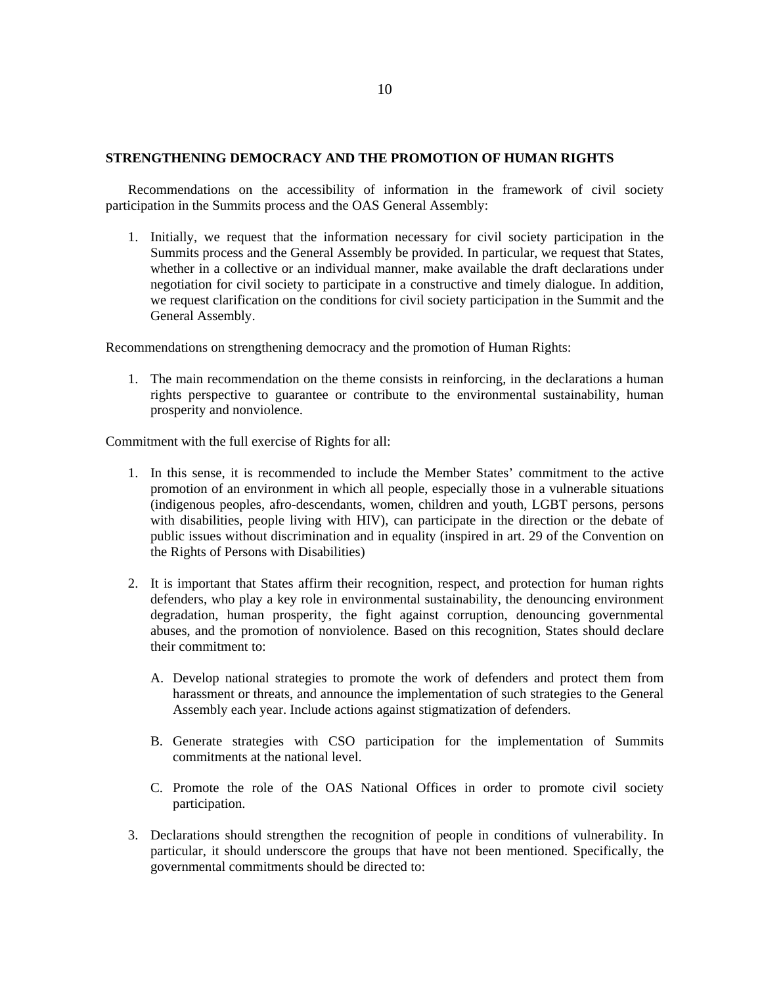### **STRENGTHENING DEMOCRACY AND THE PROMOTION OF HUMAN RIGHTS**

Recommendations on the accessibility of information in the framework of civil society participation in the Summits process and the OAS General Assembly:

1. Initially, we request that the information necessary for civil society participation in the Summits process and the General Assembly be provided. In particular, we request that States, whether in a collective or an individual manner, make available the draft declarations under negotiation for civil society to participate in a constructive and timely dialogue. In addition, we request clarification on the conditions for civil society participation in the Summit and the General Assembly.

Recommendations on strengthening democracy and the promotion of Human Rights:

1. The main recommendation on the theme consists in reinforcing, in the declarations a human rights perspective to guarantee or contribute to the environmental sustainability, human prosperity and nonviolence.

Commitment with the full exercise of Rights for all:

- 1. In this sense, it is recommended to include the Member States' commitment to the active promotion of an environment in which all people, especially those in a vulnerable situations (indigenous peoples, afro-descendants, women, children and youth, LGBT persons, persons with disabilities, people living with HIV), can participate in the direction or the debate of public issues without discrimination and in equality (inspired in art. 29 of the Convention on the Rights of Persons with Disabilities)
- 2. It is important that States affirm their recognition, respect, and protection for human rights defenders, who play a key role in environmental sustainability, the denouncing environment degradation, human prosperity, the fight against corruption, denouncing governmental abuses, and the promotion of nonviolence. Based on this recognition, States should declare their commitment to:
	- A. Develop national strategies to promote the work of defenders and protect them from harassment or threats, and announce the implementation of such strategies to the General Assembly each year. Include actions against stigmatization of defenders.
	- B. Generate strategies with CSO participation for the implementation of Summits commitments at the national level.
	- C. Promote the role of the OAS National Offices in order to promote civil society participation.
- 3. Declarations should strengthen the recognition of people in conditions of vulnerability. In particular, it should underscore the groups that have not been mentioned. Specifically, the governmental commitments should be directed to: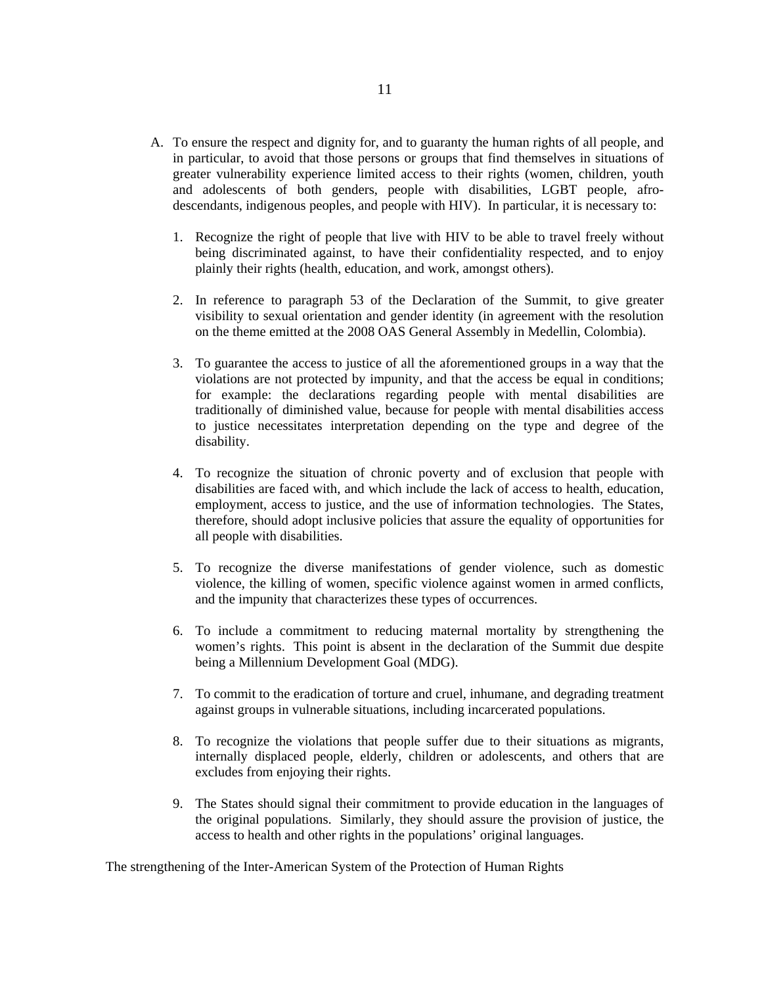- A. To ensure the respect and dignity for, and to guaranty the human rights of all people, and in particular, to avoid that those persons or groups that find themselves in situations of greater vulnerability experience limited access to their rights (women, children, youth and adolescents of both genders, people with disabilities, LGBT people, afrodescendants, indigenous peoples, and people with HIV). In particular, it is necessary to:
	- 1. Recognize the right of people that live with HIV to be able to travel freely without being discriminated against, to have their confidentiality respected, and to enjoy plainly their rights (health, education, and work, amongst others).
	- 2. In reference to paragraph 53 of the Declaration of the Summit, to give greater visibility to sexual orientation and gender identity (in agreement with the resolution on the theme emitted at the 2008 OAS General Assembly in Medellin, Colombia).
	- 3. To guarantee the access to justice of all the aforementioned groups in a way that the violations are not protected by impunity, and that the access be equal in conditions; for example: the declarations regarding people with mental disabilities are traditionally of diminished value, because for people with mental disabilities access to justice necessitates interpretation depending on the type and degree of the disability.
	- 4. To recognize the situation of chronic poverty and of exclusion that people with disabilities are faced with, and which include the lack of access to health, education, employment, access to justice, and the use of information technologies. The States, therefore, should adopt inclusive policies that assure the equality of opportunities for all people with disabilities.
	- 5. To recognize the diverse manifestations of gender violence, such as domestic violence, the killing of women, specific violence against women in armed conflicts, and the impunity that characterizes these types of occurrences.
	- 6. To include a commitment to reducing maternal mortality by strengthening the women's rights. This point is absent in the declaration of the Summit due despite being a Millennium Development Goal (MDG).
	- 7. To commit to the eradication of torture and cruel, inhumane, and degrading treatment against groups in vulnerable situations, including incarcerated populations.
	- 8. To recognize the violations that people suffer due to their situations as migrants, internally displaced people, elderly, children or adolescents, and others that are excludes from enjoying their rights.
	- 9. The States should signal their commitment to provide education in the languages of the original populations. Similarly, they should assure the provision of justice, the access to health and other rights in the populations' original languages.

The strengthening of the Inter-American System of the Protection of Human Rights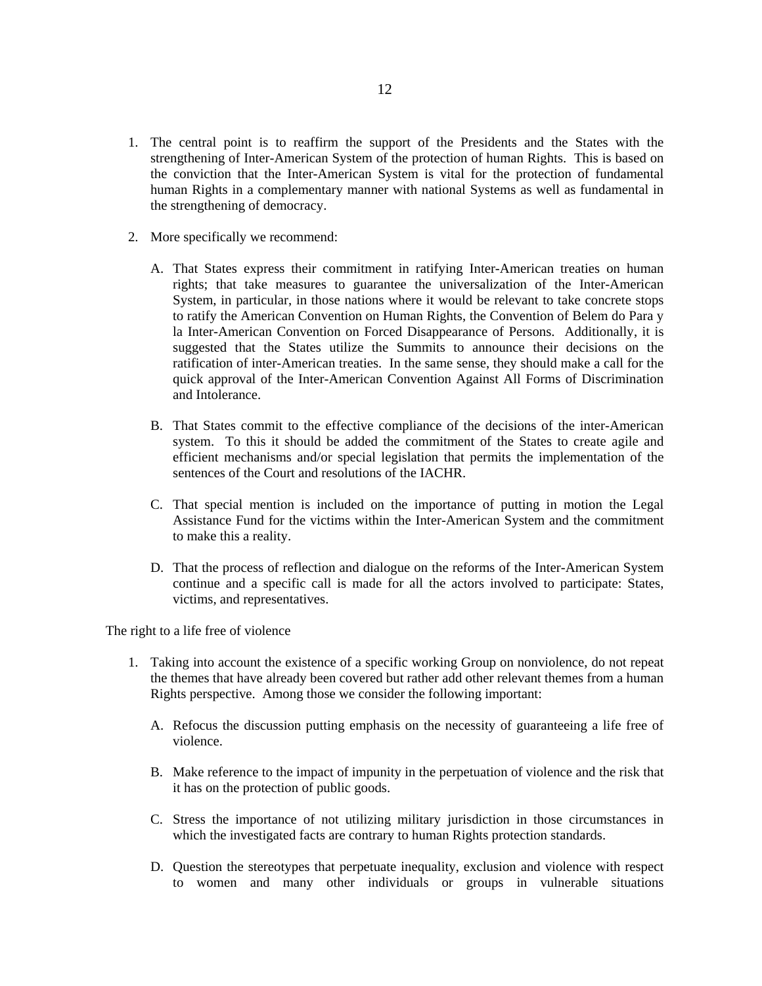- 1. The central point is to reaffirm the support of the Presidents and the States with the strengthening of Inter-American System of the protection of human Rights. This is based on the conviction that the Inter-American System is vital for the protection of fundamental human Rights in a complementary manner with national Systems as well as fundamental in the strengthening of democracy.
- 2. More specifically we recommend:
	- A. That States express their commitment in ratifying Inter-American treaties on human rights; that take measures to guarantee the universalization of the Inter-American System, in particular, in those nations where it would be relevant to take concrete stops to ratify the American Convention on Human Rights, the Convention of Belem do Para y la Inter-American Convention on Forced Disappearance of Persons. Additionally, it is suggested that the States utilize the Summits to announce their decisions on the ratification of inter-American treaties. In the same sense, they should make a call for the quick approval of the Inter-American Convention Against All Forms of Discrimination and Intolerance.
	- B. That States commit to the effective compliance of the decisions of the inter-American system. To this it should be added the commitment of the States to create agile and efficient mechanisms and/or special legislation that permits the implementation of the sentences of the Court and resolutions of the IACHR.
	- C. That special mention is included on the importance of putting in motion the Legal Assistance Fund for the victims within the Inter-American System and the commitment to make this a reality.
	- D. That the process of reflection and dialogue on the reforms of the Inter-American System continue and a specific call is made for all the actors involved to participate: States, victims, and representatives.

The right to a life free of violence

- 1. Taking into account the existence of a specific working Group on nonviolence, do not repeat the themes that have already been covered but rather add other relevant themes from a human Rights perspective. Among those we consider the following important:
	- A. Refocus the discussion putting emphasis on the necessity of guaranteeing a life free of violence.
	- B. Make reference to the impact of impunity in the perpetuation of violence and the risk that it has on the protection of public goods.
	- C. Stress the importance of not utilizing military jurisdiction in those circumstances in which the investigated facts are contrary to human Rights protection standards.
	- D. Question the stereotypes that perpetuate inequality, exclusion and violence with respect to women and many other individuals or groups in vulnerable situations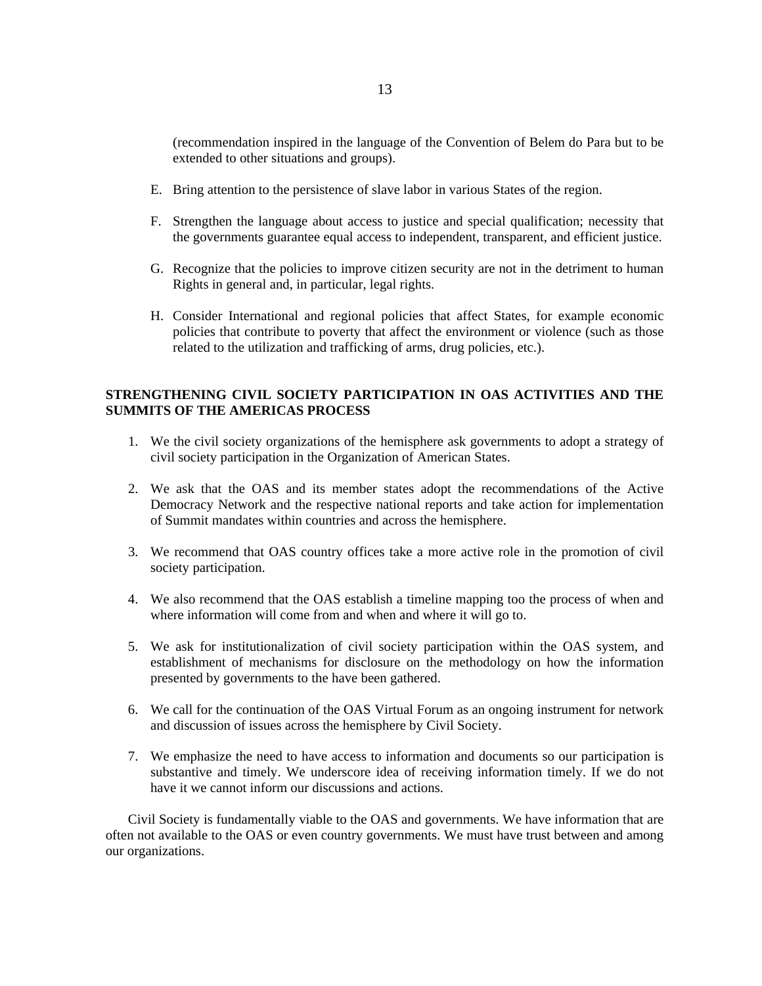(recommendation inspired in the language of the Convention of Belem do Para but to be extended to other situations and groups).

- E. Bring attention to the persistence of slave labor in various States of the region.
- F. Strengthen the language about access to justice and special qualification; necessity that the governments guarantee equal access to independent, transparent, and efficient justice.
- G. Recognize that the policies to improve citizen security are not in the detriment to human Rights in general and, in particular, legal rights.
- H. Consider International and regional policies that affect States, for example economic policies that contribute to poverty that affect the environment or violence (such as those related to the utilization and trafficking of arms, drug policies, etc.).

# **STRENGTHENING CIVIL SOCIETY PARTICIPATION IN OAS ACTIVITIES AND THE SUMMITS OF THE AMERICAS PROCESS**

- 1. We the civil society organizations of the hemisphere ask governments to adopt a strategy of civil society participation in the Organization of American States.
- 2. We ask that the OAS and its member states adopt the recommendations of the Active Democracy Network and the respective national reports and take action for implementation of Summit mandates within countries and across the hemisphere.
- 3. We recommend that OAS country offices take a more active role in the promotion of civil society participation.
- 4. We also recommend that the OAS establish a timeline mapping too the process of when and where information will come from and when and where it will go to.
- 5. We ask for institutionalization of civil society participation within the OAS system, and establishment of mechanisms for disclosure on the methodology on how the information presented by governments to the have been gathered.
- 6. We call for the continuation of the OAS Virtual Forum as an ongoing instrument for network and discussion of issues across the hemisphere by Civil Society.
- 7. We emphasize the need to have access to information and documents so our participation is substantive and timely. We underscore idea of receiving information timely. If we do not have it we cannot inform our discussions and actions.

Civil Society is fundamentally viable to the OAS and governments. We have information that are often not available to the OAS or even country governments. We must have trust between and among our organizations.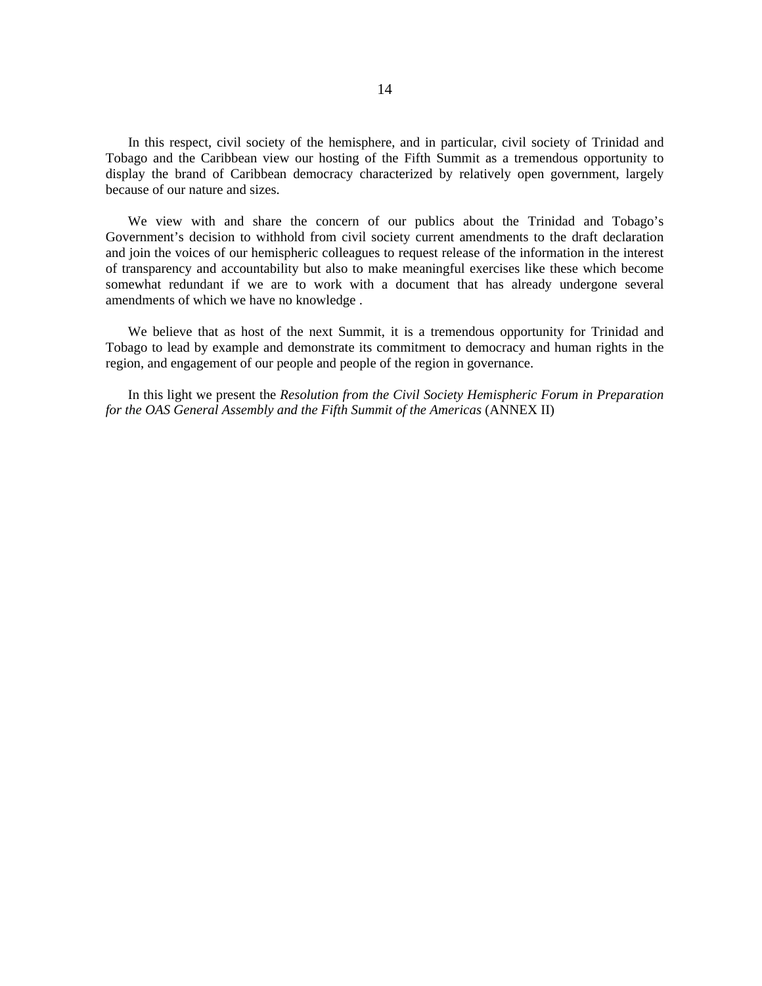In this respect, civil society of the hemisphere, and in particular, civil society of Trinidad and Tobago and the Caribbean view our hosting of the Fifth Summit as a tremendous opportunity to display the brand of Caribbean democracy characterized by relatively open government, largely because of our nature and sizes.

We view with and share the concern of our publics about the Trinidad and Tobago's Government's decision to withhold from civil society current amendments to the draft declaration and join the voices of our hemispheric colleagues to request release of the information in the interest of transparency and accountability but also to make meaningful exercises like these which become somewhat redundant if we are to work with a document that has already undergone several amendments of which we have no knowledge .

We believe that as host of the next Summit, it is a tremendous opportunity for Trinidad and Tobago to lead by example and demonstrate its commitment to democracy and human rights in the region, and engagement of our people and people of the region in governance.

In this light we present the *Resolution from the Civil Society Hemispheric Forum in Preparation for the OAS General Assembly and the Fifth Summit of the Americas* (ANNEX II)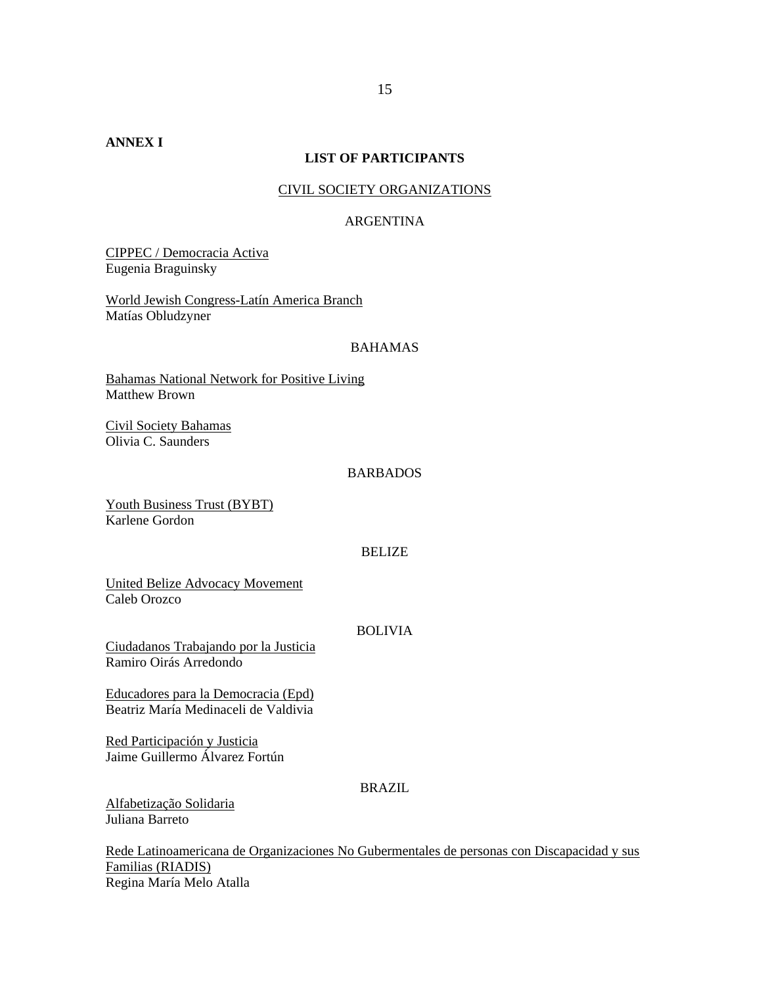## **LIST OF PARTICIPANTS**

### CIVIL SOCIETY ORGANIZATIONS

### ARGENTINA

CIPPEC / Democracia Activa Eugenia Braguinsky

World Jewish Congress-Latín America Branch Matías Obludzyner

### BAHAMAS

Bahamas National Network for Positive Living Matthew Brown

Civil Society Bahamas Olivia C. Saunders

### BARBADOS

Youth Business Trust (BYBT) Karlene Gordon

#### BELIZE

United Belize Advocacy Movement Caleb Orozco

## BOLIVIA

Ciudadanos Trabajando por la Justicia Ramiro Oirás Arredondo

Educadores para la Democracia (Epd) Beatriz María Medinaceli de Valdivia

Red Participación y Justicia Jaime Guillermo Álvarez Fortún

# BRAZIL

Alfabetização Solidaria Juliana Barreto

Rede Latinoamericana de Organizaciones No Gubermentales de personas con Discapacidad y sus Familias (RIADIS) Regina María Melo Atalla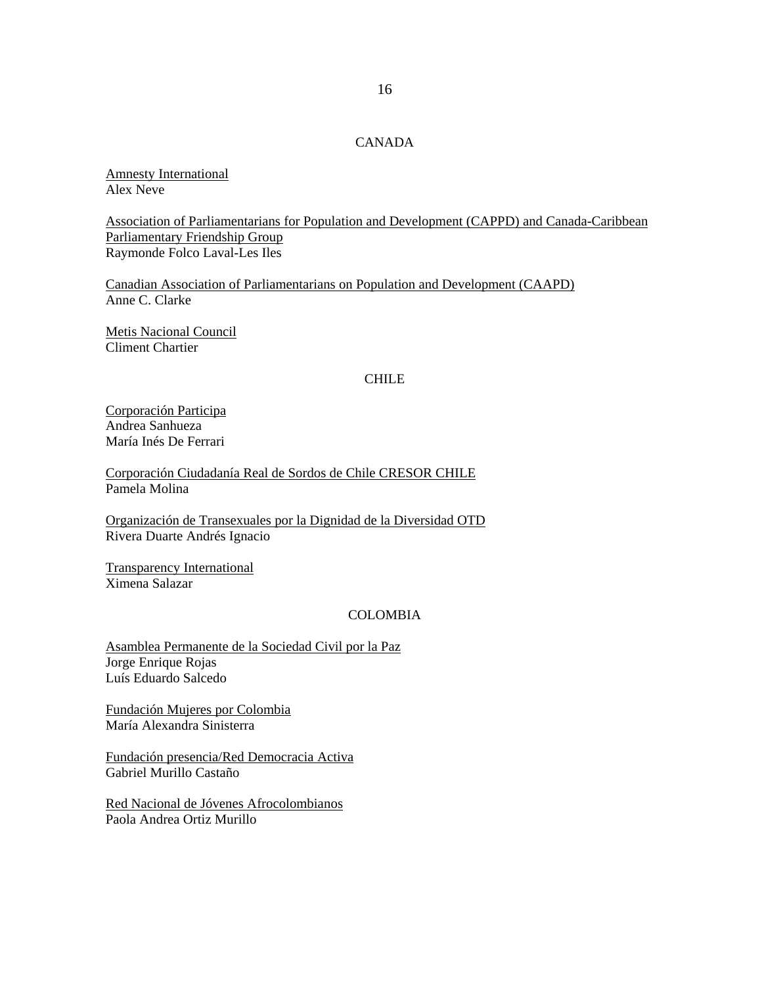# CANADA

Amnesty International Alex Neve

Association of Parliamentarians for Population and Development (CAPPD) and Canada-Caribbean Parliamentary Friendship Group Raymonde Folco Laval-Les Iles

Canadian Association of Parliamentarians on Population and Development (CAAPD) Anne C. Clarke

Metis Nacional Council Climent Chartier

### CHILE

Corporación Participa Andrea Sanhueza María Inés De Ferrari

Corporación Ciudadanía Real de Sordos de Chile CRESOR CHILE Pamela Molina

Organización de Transexuales por la Dignidad de la Diversidad OTD Rivera Duarte Andrés Ignacio

Transparency International Ximena Salazar

#### COLOMBIA

Asamblea Permanente de la Sociedad Civil por la Paz Jorge Enrique Rojas Luís Eduardo Salcedo

Fundación Mujeres por Colombia María Alexandra Sinisterra

Fundación presencia/Red Democracia Activa Gabriel Murillo Castaño

Red Nacional de Jóvenes Afrocolombianos Paola Andrea Ortiz Murillo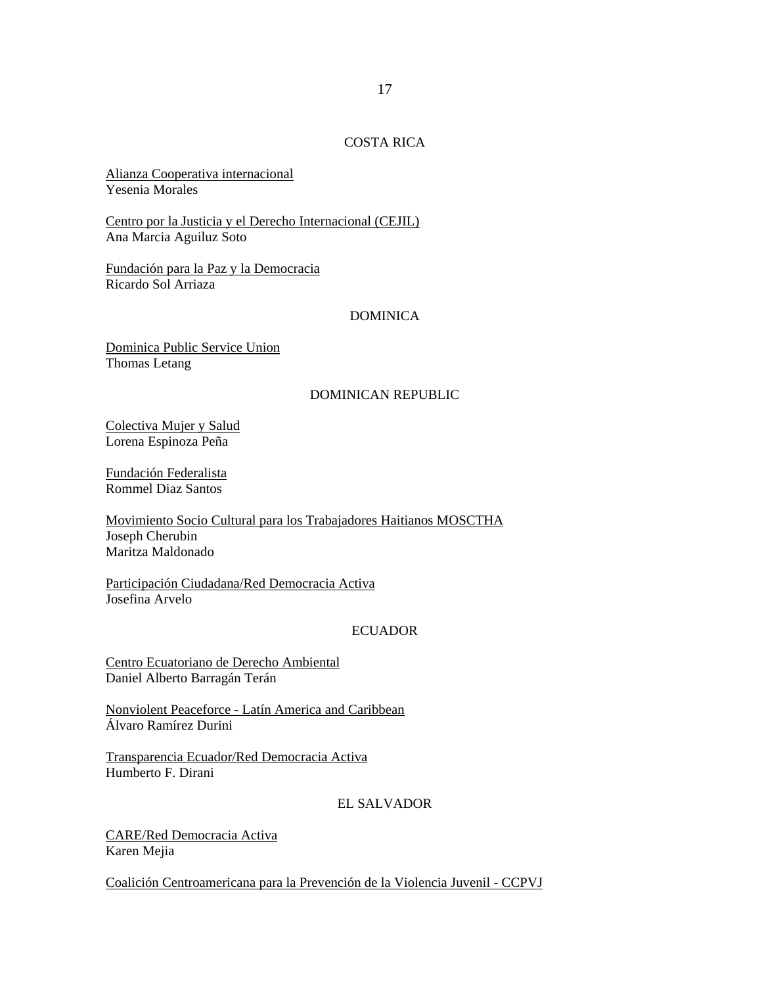# COSTA RICA

Alianza Cooperativa internacional Yesenia Morales

Centro por la Justicia y el Derecho Internacional (CEJIL) Ana Marcia Aguiluz Soto

Fundación para la Paz y la Democracia Ricardo Sol Arriaza

# DOMINICA

Dominica Public Service Union Thomas Letang

#### DOMINICAN REPUBLIC

Colectiva Mujer y Salud Lorena Espinoza Peña

Fundación Federalista Rommel Diaz Santos

Movimiento Socio Cultural para los Trabajadores Haitianos MOSCTHA Joseph Cherubin Maritza Maldonado

Participación Ciudadana/Red Democracia Activa Josefina Arvelo

### ECUADOR

Centro Ecuatoriano de Derecho Ambiental Daniel Alberto Barragán Terán

Nonviolent Peaceforce - Latín America and Caribbean Álvaro Ramírez Durini

Transparencia Ecuador/Red Democracia Activa Humberto F. Dirani

# EL SALVADOR

CARE/Red Democracia Activa Karen Mejia

Coalición Centroamericana para la Prevención de la Violencia Juvenil - CCPVJ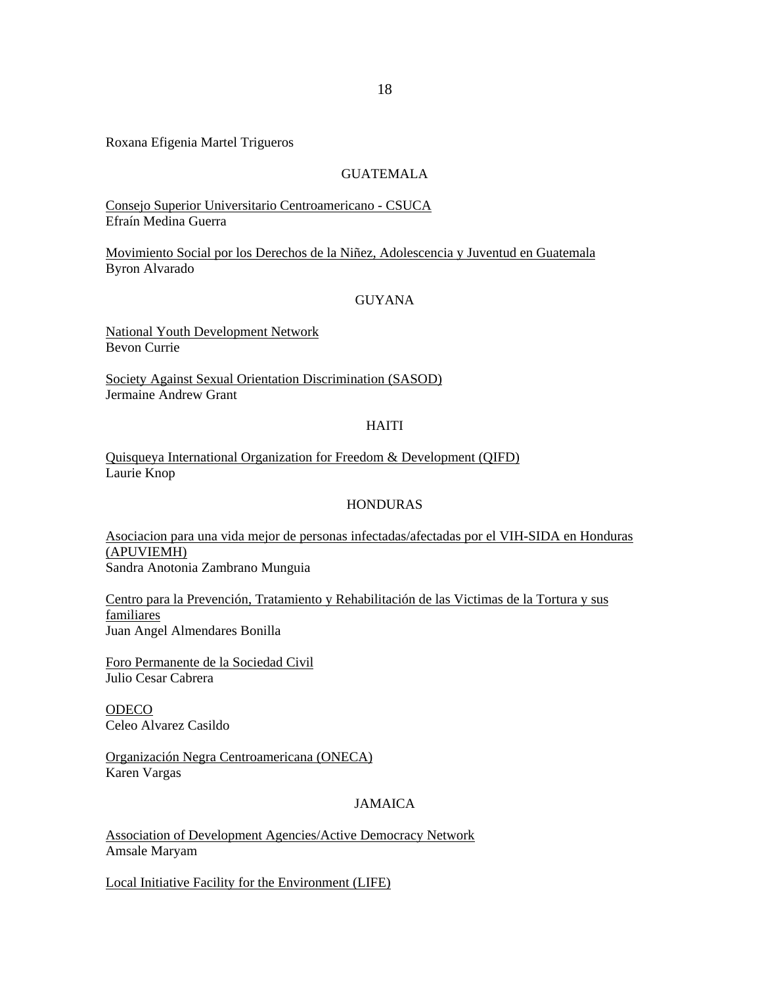Roxana Efigenia Martel Trigueros

# GUATEMALA

Consejo Superior Universitario Centroamericano - CSUCA Efraín Medina Guerra

Movimiento Social por los Derechos de la Niñez, Adolescencia y Juventud en Guatemala Byron Alvarado

### **GUYANA**

National Youth Development Network Bevon Currie

Society Against Sexual Orientation Discrimination (SASOD) Jermaine Andrew Grant

# HAITI

Quisqueya International Organization for Freedom & Development (QIFD) Laurie Knop

# HONDURAS

Asociacion para una vida mejor de personas infectadas/afectadas por el VIH-SIDA en Honduras (APUVIEMH) Sandra Anotonia Zambrano Munguia

Centro para la Prevención, Tratamiento y Rehabilitación de las Victimas de la Tortura y sus familiares Juan Angel Almendares Bonilla

Foro Permanente de la Sociedad Civil Julio Cesar Cabrera

**ODECO** Celeo Alvarez Casildo

Organización Negra Centroamericana (ONECA) Karen Vargas

# JAMAICA

Association of Development Agencies/Active Democracy Network Amsale Maryam

Local Initiative Facility for the Environment (LIFE)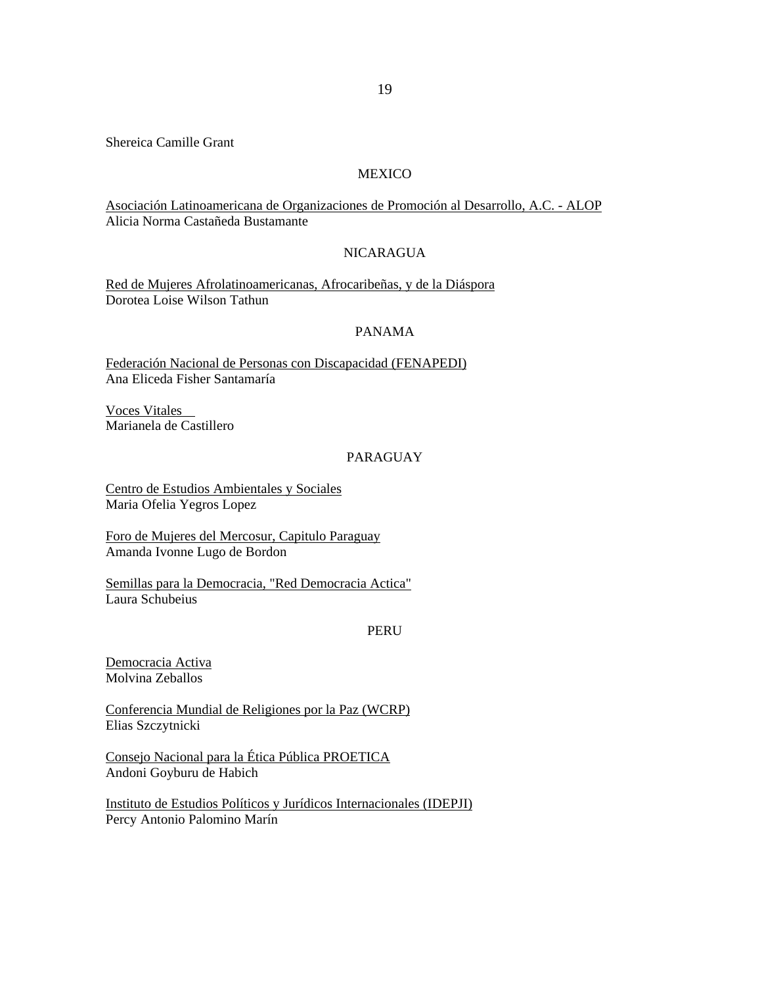Shereica Camille Grant

### **MEXICO**

Asociación Latinoamericana de Organizaciones de Promoción al Desarrollo, A.C. - ALOP Alicia Norma Castañeda Bustamante

## NICARAGUA

Red de Mujeres Afrolatinoamericanas, Afrocaribeñas, y de la Diáspora Dorotea Loise Wilson Tathun

# PANAMA

Federación Nacional de Personas con Discapacidad (FENAPEDI) Ana Eliceda Fisher Santamaría

Voces Vitales Marianela de Castillero

# PARAGUAY

Centro de Estudios Ambientales y Sociales Maria Ofelia Yegros Lopez

Foro de Mujeres del Mercosur, Capitulo Paraguay Amanda Ivonne Lugo de Bordon

Semillas para la Democracia, "Red Democracia Actica" Laura Schubeius

# PERU

Democracia Activa Molvina Zeballos

Conferencia Mundial de Religiones por la Paz (WCRP) Elias Szczytnicki

Consejo Nacional para la Ética Pública PROETICA Andoni Goyburu de Habich

Instituto de Estudios Políticos y Jurídicos Internacionales (IDEPJI) Percy Antonio Palomino Marín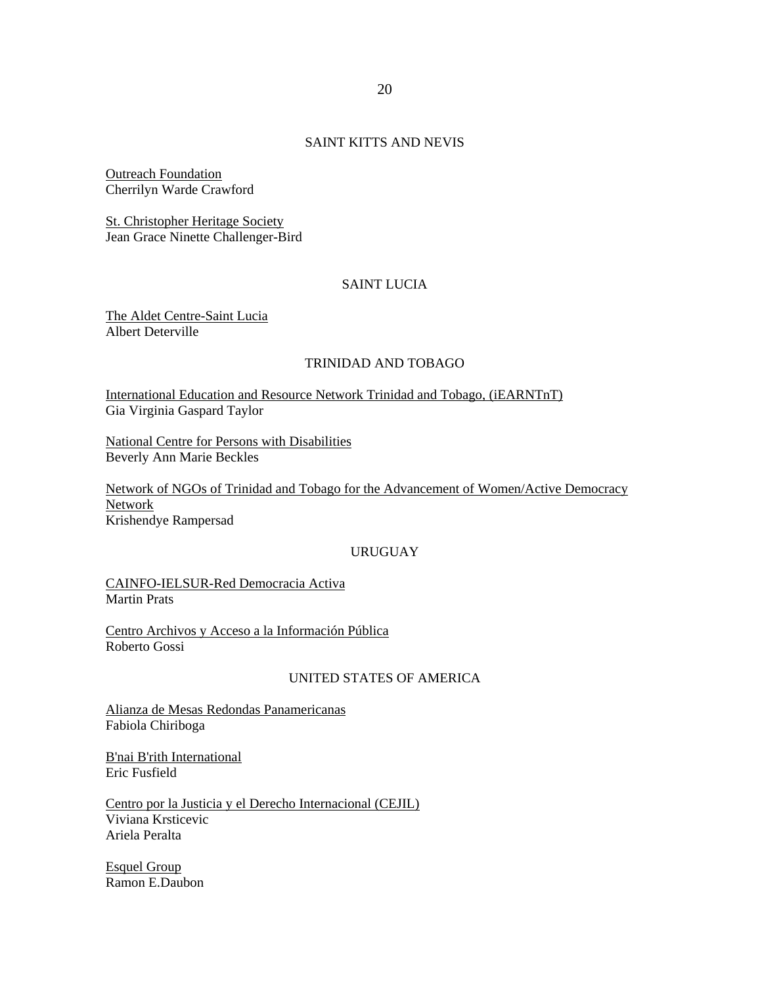## SAINT KITTS AND NEVIS

Outreach Foundation Cherrilyn Warde Crawford

St. Christopher Heritage Society Jean Grace Ninette Challenger-Bird

# SAINT LUCIA

The Aldet Centre-Saint Lucia Albert Deterville

# TRINIDAD AND TOBAGO

International Education and Resource Network Trinidad and Tobago, (iEARNTnT) Gia Virginia Gaspard Taylor

National Centre for Persons with Disabilities Beverly Ann Marie Beckles

Network of NGOs of Trinidad and Tobago for the Advancement of Women/Active Democracy Network Krishendye Rampersad

### URUGUAY

CAINFO-IELSUR-Red Democracia Activa Martin Prats

Centro Archivos y Acceso a la Información Pública Roberto Gossi

# UNITED STATES OF AMERICA

Alianza de Mesas Redondas Panamericanas Fabiola Chiriboga

B'nai B'rith International Eric Fusfield

Centro por la Justicia y el Derecho Internacional (CEJIL) Viviana Krsticevic Ariela Peralta

Esquel Group Ramon E.Daubon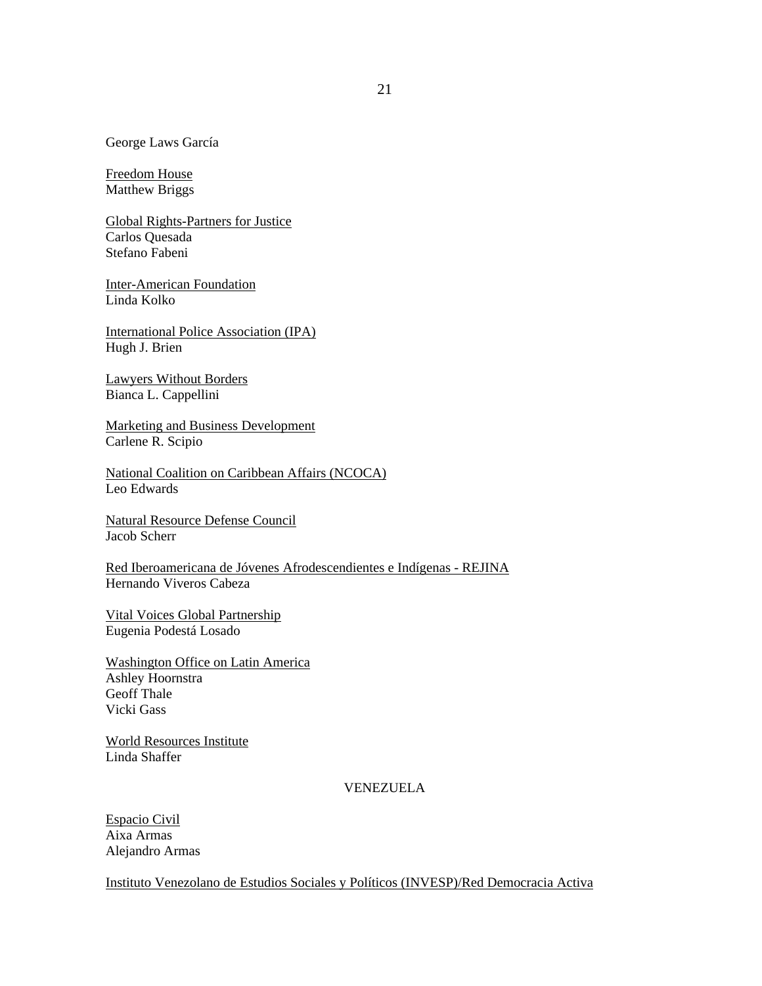George Laws García

Freedom House Matthew Briggs

Global Rights-Partners for Justice Carlos Quesada Stefano Fabeni

Inter-American Foundation Linda Kolko

International Police Association (IPA) Hugh J. Brien

Lawyers Without Borders Bianca L. Cappellini

Marketing and Business Development Carlene R. Scipio

National Coalition on Caribbean Affairs (NCOCA) Leo Edwards

Natural Resource Defense Council Jacob Scherr

Red Iberoamericana de Jóvenes Afrodescendientes e Indígenas - REJINA Hernando Viveros Cabeza

Vital Voices Global Partnership Eugenia Podestá Losado

Washington Office on Latin America Ashley Hoornstra Geoff Thale Vicki Gass

World Resources Institute Linda Shaffer

VENEZUELA

Espacio Civil Aixa Armas Alejandro Armas

Instituto Venezolano de Estudios Sociales y Políticos (INVESP)/Red Democracia Activa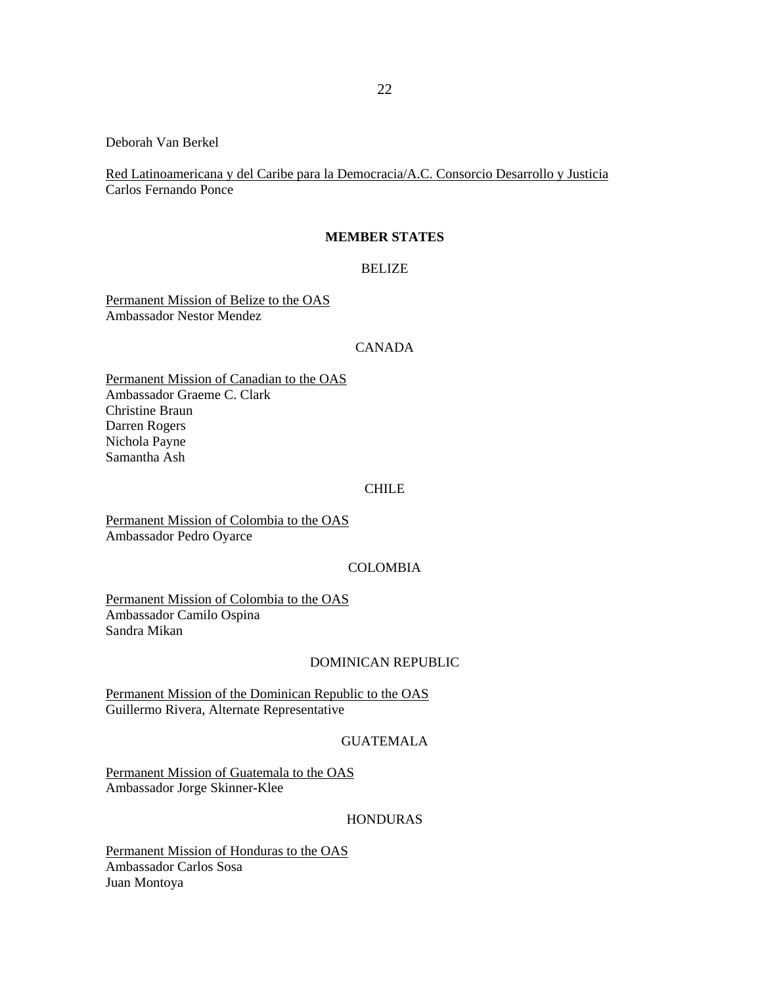Deborah Van Berkel

Red Latinoamericana y del Caribe para la Democracia/A.C. Consorcio Desarrollo y Justicia Carlos Fernando Ponce

#### **MEMBER STATES**

### BELIZE

Permanent Mission of Belize to the OAS Ambassador Nestor Mendez

### CANADA

Permanent Mission of Canadian to the OAS Ambassador Graeme C. Clark Christine Braun Darren Rogers Nichola Payne Samantha Ash

#### CHILE

Permanent Mission of Colombia to the OAS Ambassador Pedro Oyarce

### COLOMBIA

Permanent Mission of Colombia to the OAS Ambassador Camilo Ospina Sandra Mikan

### DOMINICAN REPUBLIC

Permanent Mission of the Dominican Republic to the OAS Guillermo Rivera, Alternate Representative

### GUATEMALA

Permanent Mission of Guatemala to the OAS Ambassador Jorge Skinner-Klee

#### HONDURAS

Permanent Mission of Honduras to the OAS Ambassador Carlos Sosa Juan Montoya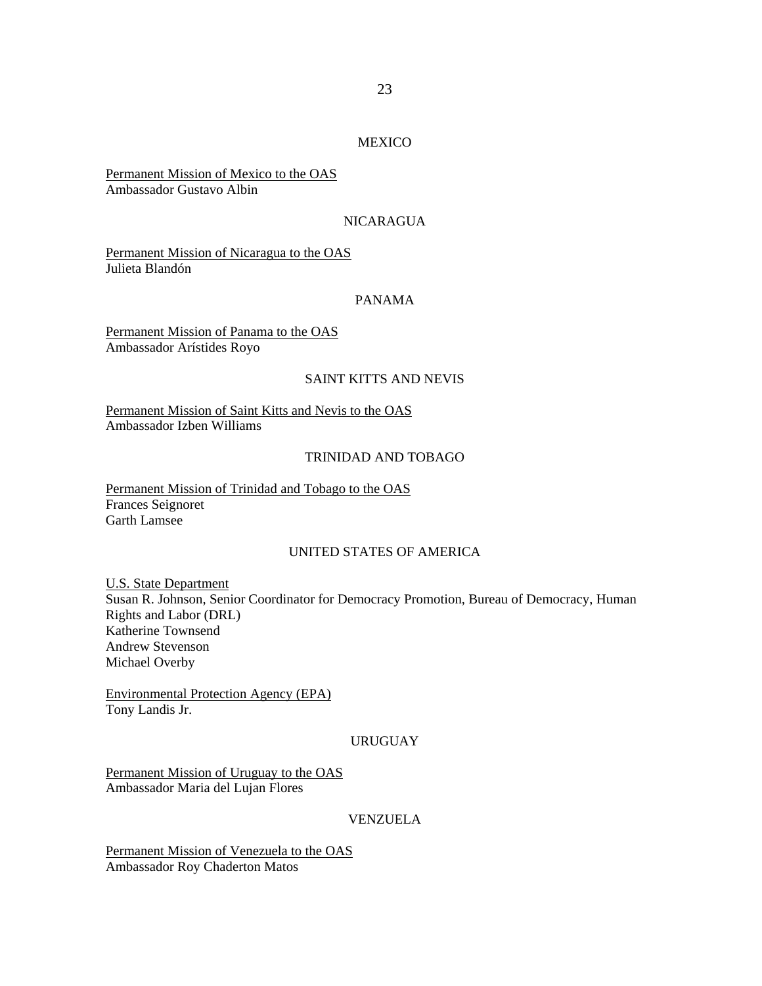## MEXICO

Permanent Mission of Mexico to the OAS Ambassador Gustavo Albin

## NICARAGUA

Permanent Mission of Nicaragua to the OAS Julieta Blandón

#### PANAMA

Permanent Mission of Panama to the OAS Ambassador Arístides Royo

### SAINT KITTS AND NEVIS

Permanent Mission of Saint Kitts and Nevis to the OAS Ambassador Izben Williams

#### TRINIDAD AND TOBAGO

Permanent Mission of Trinidad and Tobago to the OAS Frances Seignoret Garth Lamsee

### UNITED STATES OF AMERICA

U.S. State Department Susan R. Johnson, Senior Coordinator for Democracy Promotion, Bureau of Democracy, Human Rights and Labor (DRL) Katherine Townsend Andrew Stevenson Michael Overby

Environmental Protection Agency (EPA) Tony Landis Jr.

# URUGUAY

Permanent Mission of Uruguay to the OAS Ambassador Maria del Lujan Flores

## VENZUELA

Permanent Mission of Venezuela to the OAS Ambassador Roy Chaderton Matos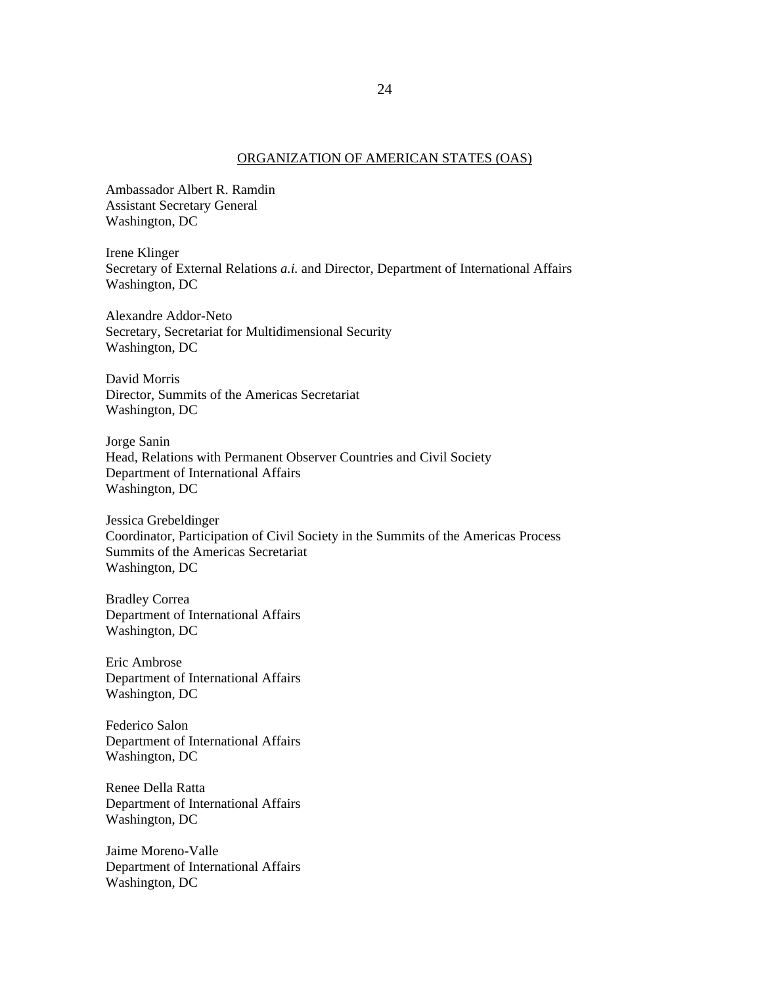#### ORGANIZATION OF AMERICAN STATES (OAS)

Ambassador Albert R. Ramdin Assistant Secretary General Washington, DC

Irene Klinger Secretary of External Relations *a.i.* and Director, Department of International Affairs Washington, DC

Alexandre Addor-Neto Secretary, Secretariat for Multidimensional Security Washington, DC

David Morris Director, Summits of the Americas Secretariat Washington, DC

Jorge Sanin Head, Relations with Permanent Observer Countries and Civil Society Department of International Affairs Washington, DC

Jessica Grebeldinger Coordinator, Participation of Civil Society in the Summits of the Americas Process Summits of the Americas Secretariat Washington, DC

Bradley Correa Department of International Affairs Washington, DC

Eric Ambrose Department of International Affairs Washington, DC

Federico Salon Department of International Affairs Washington, DC

Renee Della Ratta Department of International Affairs Washington, DC

Jaime Moreno-Valle Department of International Affairs Washington, DC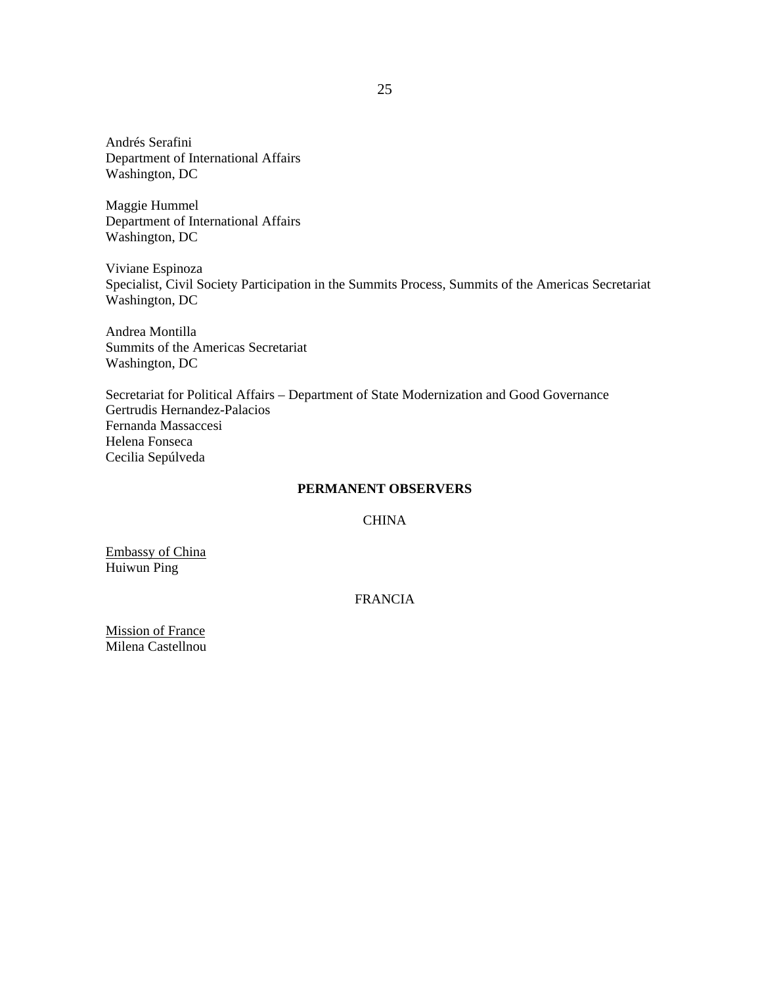Andrés Serafini Department of International Affairs Washington, DC

Maggie Hummel Department of International Affairs Washington, DC

Viviane Espinoza Specialist, Civil Society Participation in the Summits Process, Summits of the Americas Secretariat Washington, DC

Andrea Montilla Summits of the Americas Secretariat Washington, DC

Secretariat for Political Affairs – Department of State Modernization and Good Governance Gertrudis Hernandez-Palacios Fernanda Massaccesi Helena Fonseca Cecilia Sepúlveda

# **PERMANENT OBSERVERS**

CHINA

Embassy of China Huiwun Ping

FRANCIA

Mission of France Milena Castellnou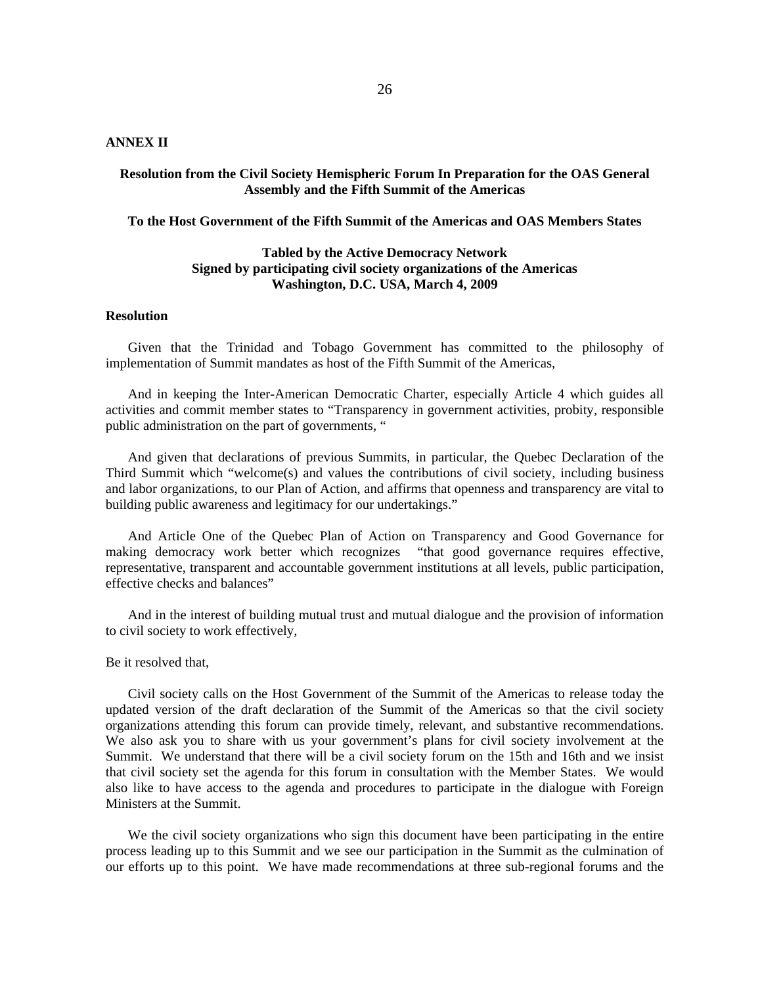# **ANNEX II**

### **Resolution from the Civil Society Hemispheric Forum In Preparation for the OAS General Assembly and the Fifth Summit of the Americas**

#### **To the Host Government of the Fifth Summit of the Americas and OAS Members States**

### **Tabled by the Active Democracy Network Signed by participating civil society organizations of the Americas Washington, D.C. USA, March 4, 2009**

#### **Resolution**

Given that the Trinidad and Tobago Government has committed to the philosophy of implementation of Summit mandates as host of the Fifth Summit of the Americas,

And in keeping the Inter-American Democratic Charter, especially Article 4 which guides all activities and commit member states to "Transparency in government activities, probity, responsible public administration on the part of governments, "

And given that declarations of previous Summits, in particular, the Quebec Declaration of the Third Summit which "welcome(s) and values the contributions of civil society, including business and labor organizations, to our Plan of Action, and affirms that openness and transparency are vital to building public awareness and legitimacy for our undertakings."

And Article One of the Quebec Plan of Action on Transparency and Good Governance for making democracy work better which recognizes "that good governance requires effective, representative, transparent and accountable government institutions at all levels, public participation, effective checks and balances"

And in the interest of building mutual trust and mutual dialogue and the provision of information to civil society to work effectively,

#### Be it resolved that,

Civil society calls on the Host Government of the Summit of the Americas to release today the updated version of the draft declaration of the Summit of the Americas so that the civil society organizations attending this forum can provide timely, relevant, and substantive recommendations. We also ask you to share with us your government's plans for civil society involvement at the Summit. We understand that there will be a civil society forum on the 15th and 16th and we insist that civil society set the agenda for this forum in consultation with the Member States. We would also like to have access to the agenda and procedures to participate in the dialogue with Foreign Ministers at the Summit.

We the civil society organizations who sign this document have been participating in the entire process leading up to this Summit and we see our participation in the Summit as the culmination of our efforts up to this point. We have made recommendations at three sub-regional forums and the